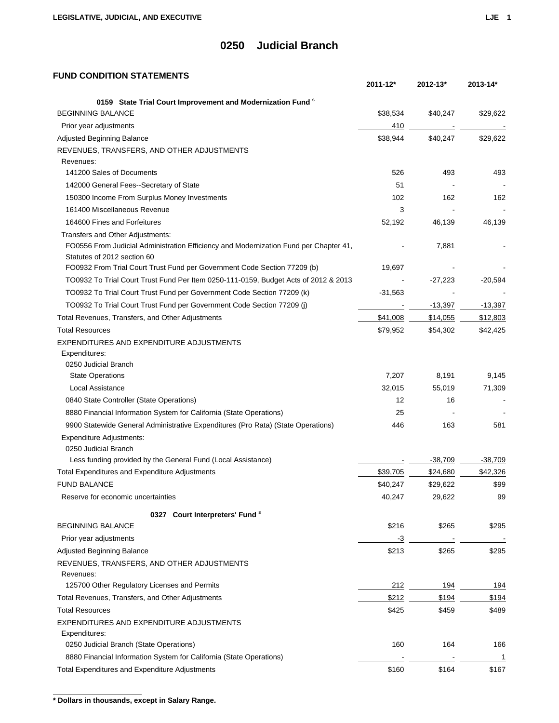### **FUND CONDITION STATEMENTS**

|                                                                                                                      | 2011-12*  | 2012-13*  | 2013-14*  |
|----------------------------------------------------------------------------------------------------------------------|-----------|-----------|-----------|
| 0159 State Trial Court Improvement and Modernization Fund <sup>8</sup>                                               |           |           |           |
| <b>BEGINNING BALANCE</b>                                                                                             | \$38,534  | \$40,247  | \$29,622  |
| Prior year adjustments                                                                                               | 410       |           |           |
| Adjusted Beginning Balance                                                                                           | \$38,944  | \$40,247  | \$29,622  |
| REVENUES, TRANSFERS, AND OTHER ADJUSTMENTS                                                                           |           |           |           |
| Revenues:                                                                                                            |           |           |           |
| 141200 Sales of Documents                                                                                            | 526       | 493       | 493       |
| 142000 General Fees--Secretary of State                                                                              | 51        |           |           |
| 150300 Income From Surplus Money Investments                                                                         | 102       | 162       | 162       |
| 161400 Miscellaneous Revenue                                                                                         | 3         |           |           |
| 164600 Fines and Forfeitures                                                                                         | 52,192    | 46,139    | 46,139    |
| Transfers and Other Adjustments:                                                                                     |           |           |           |
| FO0556 From Judicial Administration Efficiency and Modernization Fund per Chapter 41,<br>Statutes of 2012 section 60 |           | 7,881     |           |
| FO0932 From Trial Court Trust Fund per Government Code Section 77209 (b)                                             | 19,697    |           |           |
| TO0932 To Trial Court Trust Fund Per Item 0250-111-0159, Budget Acts of 2012 & 2013                                  |           | $-27,223$ | $-20,594$ |
| TO0932 To Trial Court Trust Fund per Government Code Section 77209 (k)                                               | $-31,563$ |           |           |
| TO0932 To Trial Court Trust Fund per Government Code Section 77209 (j)                                               |           | $-13,397$ | $-13,397$ |
| Total Revenues, Transfers, and Other Adjustments                                                                     | \$41,008  | \$14,055  | \$12,803  |
| <b>Total Resources</b>                                                                                               | \$79,952  | \$54,302  | \$42,425  |
| EXPENDITURES AND EXPENDITURE ADJUSTMENTS                                                                             |           |           |           |
| Expenditures:                                                                                                        |           |           |           |
| 0250 Judicial Branch                                                                                                 |           |           |           |
| <b>State Operations</b>                                                                                              | 7,207     | 8,191     | 9,145     |
| <b>Local Assistance</b>                                                                                              | 32,015    | 55,019    | 71,309    |
| 0840 State Controller (State Operations)                                                                             | 12        | 16        |           |
| 8880 Financial Information System for California (State Operations)                                                  | 25        |           |           |
| 9900 Statewide General Administrative Expenditures (Pro Rata) (State Operations)                                     | 446       | 163       | 581       |
| <b>Expenditure Adjustments:</b>                                                                                      |           |           |           |
| 0250 Judicial Branch                                                                                                 |           |           |           |
| Less funding provided by the General Fund (Local Assistance)                                                         |           | $-38,709$ | $-38,709$ |
| Total Expenditures and Expenditure Adjustments                                                                       | \$39,705  | \$24,680  | \$42,326  |
| <b>FUND BALANCE</b>                                                                                                  | \$40,247  | \$29,622  | \$99      |
| Reserve for economic uncertainties                                                                                   | 40,247    | 29,622    | 99        |
| 0327 Court Interpreters' Fund <sup>s</sup>                                                                           |           |           |           |
| <b>BEGINNING BALANCE</b>                                                                                             | \$216     | \$265     | \$295     |
| Prior year adjustments                                                                                               | -3        |           |           |
| Adjusted Beginning Balance                                                                                           | \$213     | \$265     | \$295     |
| REVENUES, TRANSFERS, AND OTHER ADJUSTMENTS                                                                           |           |           |           |
| Revenues:<br>125700 Other Regulatory Licenses and Permits                                                            | 212       | 194       | 194       |
| Total Revenues, Transfers, and Other Adjustments                                                                     | \$212     | \$194     | \$194     |
| <b>Total Resources</b>                                                                                               | \$425     | \$459     | \$489     |
| EXPENDITURES AND EXPENDITURE ADJUSTMENTS                                                                             |           |           |           |
| Expenditures:                                                                                                        |           |           |           |
| 0250 Judicial Branch (State Operations)                                                                              | 160       | 164       | 166       |
| 8880 Financial Information System for California (State Operations)                                                  |           |           | 1         |
| Total Expenditures and Expenditure Adjustments                                                                       | \$160     | \$164     | \$167     |
|                                                                                                                      |           |           |           |

**\* Dollars in thousands, except in Salary Range.**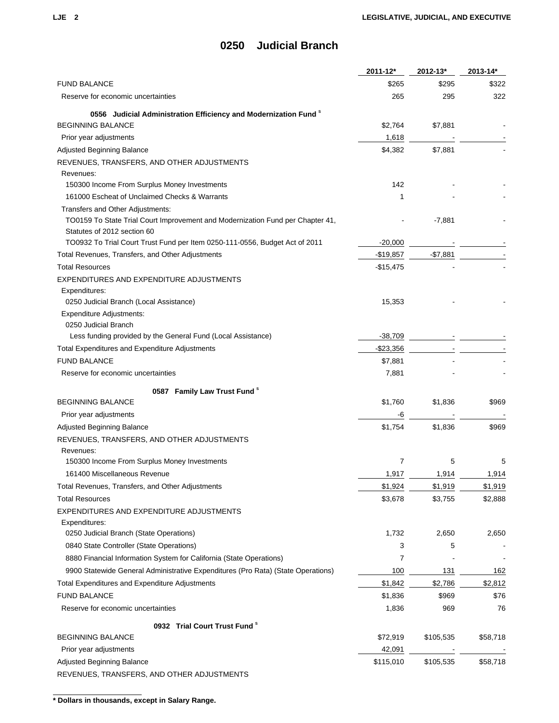|                                                                                  | 2011-12*   | 2012-13*  | 2013-14*   |
|----------------------------------------------------------------------------------|------------|-----------|------------|
| <b>FUND BALANCE</b>                                                              | \$265      | \$295     | \$322      |
| Reserve for economic uncertainties                                               | 265        | 295       | 322        |
| 0556 Judicial Administration Efficiency and Modernization Fund <sup>8</sup>      |            |           |            |
| <b>BEGINNING BALANCE</b>                                                         | \$2,764    | \$7,881   |            |
| Prior year adjustments                                                           | 1,618      |           |            |
| Adjusted Beginning Balance                                                       | \$4,382    | \$7,881   |            |
| REVENUES, TRANSFERS, AND OTHER ADJUSTMENTS                                       |            |           |            |
| Revenues:                                                                        |            |           |            |
| 150300 Income From Surplus Money Investments                                     | 142        |           |            |
| 161000 Escheat of Unclaimed Checks & Warrants                                    | 1          |           |            |
| Transfers and Other Adjustments:                                                 |            |           |            |
| TO0159 To State Trial Court Improvement and Modernization Fund per Chapter 41,   |            | $-7,881$  |            |
| Statutes of 2012 section 60                                                      |            |           |            |
| TO0932 To Trial Court Trust Fund per Item 0250-111-0556, Budget Act of 2011      | $-20,000$  |           |            |
| Total Revenues, Transfers, and Other Adjustments                                 | $-$19,857$ | $-$7,881$ |            |
| <b>Total Resources</b>                                                           | $-$15,475$ |           |            |
| EXPENDITURES AND EXPENDITURE ADJUSTMENTS                                         |            |           |            |
| Expenditures:                                                                    |            |           |            |
| 0250 Judicial Branch (Local Assistance)                                          | 15,353     |           |            |
| <b>Expenditure Adjustments:</b>                                                  |            |           |            |
| 0250 Judicial Branch                                                             |            |           |            |
| Less funding provided by the General Fund (Local Assistance)                     | -38,709    |           |            |
| Total Expenditures and Expenditure Adjustments                                   | $-$23,356$ |           |            |
| <b>FUND BALANCE</b>                                                              | \$7,881    |           |            |
| Reserve for economic uncertainties                                               | 7,881      |           |            |
| 0587 Family Law Trust Fund <sup>s</sup>                                          |            |           |            |
| <b>BEGINNING BALANCE</b>                                                         | \$1,760    | \$1,836   | \$969      |
| Prior year adjustments                                                           | -6         |           |            |
| Adjusted Beginning Balance                                                       | \$1,754    | \$1,836   | \$969      |
| REVENUES, TRANSFERS, AND OTHER ADJUSTMENTS                                       |            |           |            |
| Revenues:                                                                        |            |           |            |
| 150300 Income From Surplus Money Investments                                     | 7          | 5         | 5          |
| 161400 Miscellaneous Revenue                                                     | 1,917      | 1,914     | 1,914      |
| Total Revenues, Transfers, and Other Adjustments                                 | \$1,924    | \$1,919   | \$1,919    |
| <b>Total Resources</b>                                                           | \$3,678    | \$3,755   | \$2,888    |
| EXPENDITURES AND EXPENDITURE ADJUSTMENTS                                         |            |           |            |
| Expenditures:                                                                    |            |           |            |
| 0250 Judicial Branch (State Operations)                                          | 1,732      | 2,650     | 2,650      |
| 0840 State Controller (State Operations)                                         | 3          | 5         |            |
| 8880 Financial Information System for California (State Operations)              | 7          |           |            |
| 9900 Statewide General Administrative Expenditures (Pro Rata) (State Operations) | 100        | 131       | <u>162</u> |
| Total Expenditures and Expenditure Adjustments                                   | \$1,842    | \$2,786   | \$2,812    |
| <b>FUND BALANCE</b>                                                              | \$1,836    | \$969     | \$76       |
| Reserve for economic uncertainties                                               | 1,836      | 969       | 76         |
| 0932 Trial Court Trust Fund <sup>s</sup>                                         |            |           |            |
| <b>BEGINNING BALANCE</b>                                                         | \$72,919   | \$105,535 | \$58,718   |
| Prior year adjustments                                                           | 42,091     |           |            |
| Adjusted Beginning Balance                                                       | \$115,010  | \$105,535 | \$58,718   |
| REVENUES, TRANSFERS, AND OTHER ADJUSTMENTS                                       |            |           |            |

**\* Dollars in thousands, except in Salary Range.**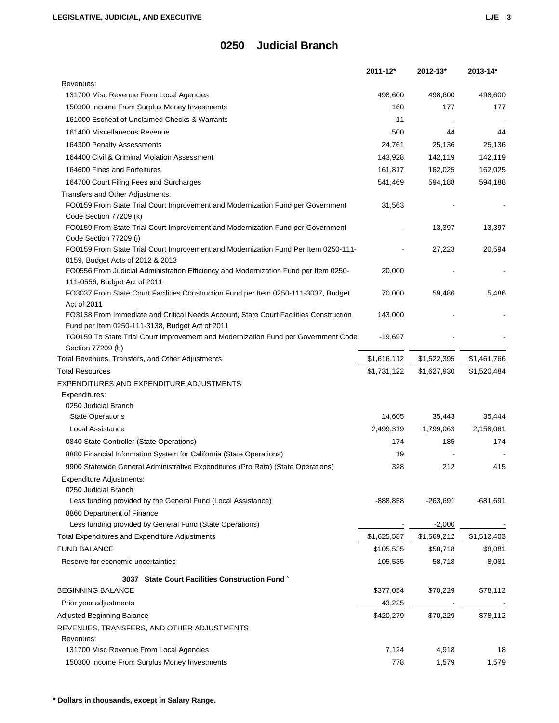|                                                                                                    | 2011-12*    | 2012-13*    | 2013-14*    |
|----------------------------------------------------------------------------------------------------|-------------|-------------|-------------|
| Revenues:                                                                                          |             |             |             |
| 131700 Misc Revenue From Local Agencies                                                            | 498,600     | 498,600     | 498,600     |
| 150300 Income From Surplus Money Investments                                                       | 160         | 177         | 177         |
| 161000 Escheat of Unclaimed Checks & Warrants                                                      | 11          |             |             |
| 161400 Miscellaneous Revenue                                                                       | 500         | 44          | 44          |
| 164300 Penalty Assessments                                                                         | 24,761      | 25,136      | 25,136      |
| 164400 Civil & Criminal Violation Assessment                                                       | 143,928     | 142,119     | 142,119     |
| 164600 Fines and Forfeitures                                                                       | 161,817     | 162,025     | 162,025     |
| 164700 Court Filing Fees and Surcharges                                                            | 541,469     | 594,188     | 594,188     |
| Transfers and Other Adjustments:                                                                   |             |             |             |
| FO0159 From State Trial Court Improvement and Modernization Fund per Government                    | 31,563      |             |             |
| Code Section 77209 (k)                                                                             |             |             |             |
| FO0159 From State Trial Court Improvement and Modernization Fund per Government                    |             | 13,397      | 13,397      |
| Code Section 77209 (j)                                                                             |             |             |             |
| FO0159 From State Trial Court Improvement and Modernization Fund Per Item 0250-111-                |             | 27,223      | 20,594      |
| 0159, Budget Acts of 2012 & 2013                                                                   |             |             |             |
| FO0556 From Judicial Administration Efficiency and Modernization Fund per Item 0250-               | 20,000      |             |             |
| 111-0556, Budget Act of 2011                                                                       |             |             |             |
| FO3037 From State Court Facilities Construction Fund per Item 0250-111-3037, Budget<br>Act of 2011 | 70,000      | 59,486      | 5,486       |
| FO3138 From Immediate and Critical Needs Account, State Court Facilities Construction              | 143,000     |             |             |
| Fund per Item 0250-111-3138, Budget Act of 2011                                                    |             |             |             |
| TO0159 To State Trial Court Improvement and Modernization Fund per Government Code                 | $-19,697$   |             |             |
| Section 77209 (b)                                                                                  |             |             |             |
| Total Revenues, Transfers, and Other Adjustments                                                   | \$1,616,112 | \$1,522,395 | \$1,461,766 |
| <b>Total Resources</b>                                                                             | \$1,731,122 | \$1,627,930 | \$1,520,484 |
| EXPENDITURES AND EXPENDITURE ADJUSTMENTS                                                           |             |             |             |
| Expenditures:                                                                                      |             |             |             |
| 0250 Judicial Branch                                                                               |             |             |             |
| <b>State Operations</b>                                                                            | 14,605      | 35,443      | 35,444      |
| Local Assistance                                                                                   | 2,499,319   | 1,799,063   | 2,158,061   |
| 0840 State Controller (State Operations)                                                           | 174         | 185         | 174         |
| 8880 Financial Information System for California (State Operations)                                | 19          |             |             |
| 9900 Statewide General Administrative Expenditures (Pro Rata) (State Operations)                   | 328         | 212         | 415         |
| <b>Expenditure Adjustments:</b>                                                                    |             |             |             |
| 0250 Judicial Branch                                                                               |             |             |             |
| Less funding provided by the General Fund (Local Assistance)                                       | -888,858    | $-263,691$  | $-681,691$  |
| 8860 Department of Finance                                                                         |             |             |             |
| Less funding provided by General Fund (State Operations)                                           |             | $-2,000$    |             |
| <b>Total Expenditures and Expenditure Adjustments</b>                                              | \$1,625,587 | \$1,569,212 | \$1,512,403 |
| <b>FUND BALANCE</b>                                                                                | \$105,535   | \$58,718    | \$8,081     |
| Reserve for economic uncertainties                                                                 | 105,535     | 58,718      | 8,081       |
|                                                                                                    |             |             |             |
| 3037 State Court Facilities Construction Fund *                                                    |             |             |             |
| <b>BEGINNING BALANCE</b>                                                                           | \$377,054   | \$70,229    | \$78,112    |
| Prior year adjustments                                                                             | 43,225      |             |             |
| Adjusted Beginning Balance                                                                         | \$420,279   | \$70,229    | \$78,112    |
| REVENUES, TRANSFERS, AND OTHER ADJUSTMENTS                                                         |             |             |             |
| Revenues:                                                                                          |             |             |             |
| 131700 Misc Revenue From Local Agencies                                                            | 7,124       | 4,918       | 18          |
| 150300 Income From Surplus Money Investments                                                       | 778         | 1,579       | 1,579       |

**<sup>\*</sup> Dollars in thousands, except in Salary Range.**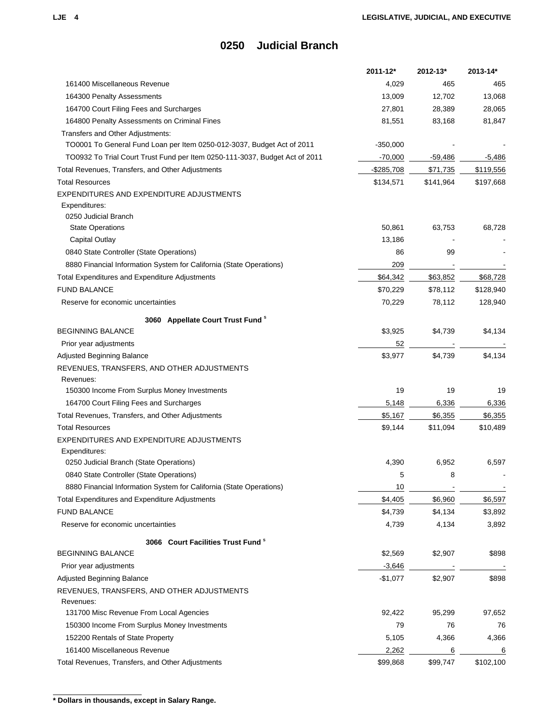|                                                                             | 2011-12*    | 2012-13*        | 2013-14*  |
|-----------------------------------------------------------------------------|-------------|-----------------|-----------|
| 161400 Miscellaneous Revenue                                                | 4,029       | 465             | 465       |
| 164300 Penalty Assessments                                                  | 13,009      | 12,702          | 13,068    |
| 164700 Court Filing Fees and Surcharges                                     | 27,801      | 28,389          | 28,065    |
| 164800 Penalty Assessments on Criminal Fines                                | 81,551      | 83,168          | 81,847    |
| Transfers and Other Adjustments:                                            |             |                 |           |
| TO0001 To General Fund Loan per Item 0250-012-3037, Budget Act of 2011      | $-350,000$  |                 |           |
| TO0932 To Trial Court Trust Fund per Item 0250-111-3037, Budget Act of 2011 | $-70,000$   | $-59,486$       | -5,486    |
| Total Revenues, Transfers, and Other Adjustments                            | $-$285,708$ | \$71,735        | \$119,556 |
| <b>Total Resources</b>                                                      | \$134,571   | \$141,964       | \$197,668 |
| EXPENDITURES AND EXPENDITURE ADJUSTMENTS                                    |             |                 |           |
| Expenditures:                                                               |             |                 |           |
| 0250 Judicial Branch                                                        |             |                 |           |
| <b>State Operations</b>                                                     | 50,861      | 63,753          | 68,728    |
| Capital Outlay                                                              | 13,186      |                 |           |
| 0840 State Controller (State Operations)                                    | 86          | 99              |           |
| 8880 Financial Information System for California (State Operations)         | 209         |                 |           |
| <b>Total Expenditures and Expenditure Adjustments</b>                       | \$64,342    | \$63,852        | \$68,728  |
| <b>FUND BALANCE</b>                                                         | \$70,229    | \$78,112        | \$128,940 |
| Reserve for economic uncertainties                                          | 70,229      | 78,112          | 128,940   |
| 3060 Appellate Court Trust Fund <sup>8</sup>                                |             |                 |           |
| <b>BEGINNING BALANCE</b>                                                    | \$3,925     | \$4,739         | \$4,134   |
| Prior year adjustments                                                      | 52          |                 |           |
| Adjusted Beginning Balance                                                  | \$3,977     | \$4,739         | \$4,134   |
| REVENUES, TRANSFERS, AND OTHER ADJUSTMENTS                                  |             |                 |           |
| Revenues:                                                                   |             |                 |           |
| 150300 Income From Surplus Money Investments                                | 19          | 19              | 19        |
| 164700 Court Filing Fees and Surcharges                                     | 5,148       | 6,336           | 6,336     |
| Total Revenues, Transfers, and Other Adjustments                            | \$5,167     | \$6,355         | \$6,355   |
| <b>Total Resources</b>                                                      | \$9,144     | \$11,094        | \$10,489  |
| EXPENDITURES AND EXPENDITURE ADJUSTMENTS                                    |             |                 |           |
| Expenditures:                                                               |             |                 |           |
| 0250 Judicial Branch (State Operations)                                     | 4,390       | 6,952           | 6,597     |
| 0840 State Controller (State Operations)                                    | 5           | 8               |           |
| 8880 Financial Information System for California (State Operations)         | 10          |                 |           |
| Total Expenditures and Expenditure Adjustments                              | \$4,405     | \$6,960         | \$6,597   |
| <b>FUND BALANCE</b>                                                         | \$4,739     | \$4,134         | \$3,892   |
| Reserve for economic uncertainties                                          | 4,739       | 4,134           | 3,892     |
|                                                                             |             |                 |           |
| 3066 Court Facilities Trust Fund <sup>8</sup>                               |             |                 |           |
| <b>BEGINNING BALANCE</b>                                                    | \$2,569     | \$2,907         | \$898     |
| Prior year adjustments                                                      | $-3,646$    |                 |           |
| Adjusted Beginning Balance                                                  | $-$1,077$   | \$2,907         | \$898     |
| REVENUES, TRANSFERS, AND OTHER ADJUSTMENTS                                  |             |                 |           |
| Revenues:<br>131700 Misc Revenue From Local Agencies                        | 92,422      | 95,299          | 97,652    |
|                                                                             | 79          | 76              |           |
| 150300 Income From Surplus Money Investments                                |             |                 | 76        |
| 152200 Rentals of State Property                                            | 5,105       | 4,366           | 4,366     |
| 161400 Miscellaneous Revenue                                                | 2,262       | $6\overline{6}$ | 6         |
| Total Revenues, Transfers, and Other Adjustments                            | \$99,868    | \$99,747        | \$102,100 |

**<sup>\*</sup> Dollars in thousands, except in Salary Range.**